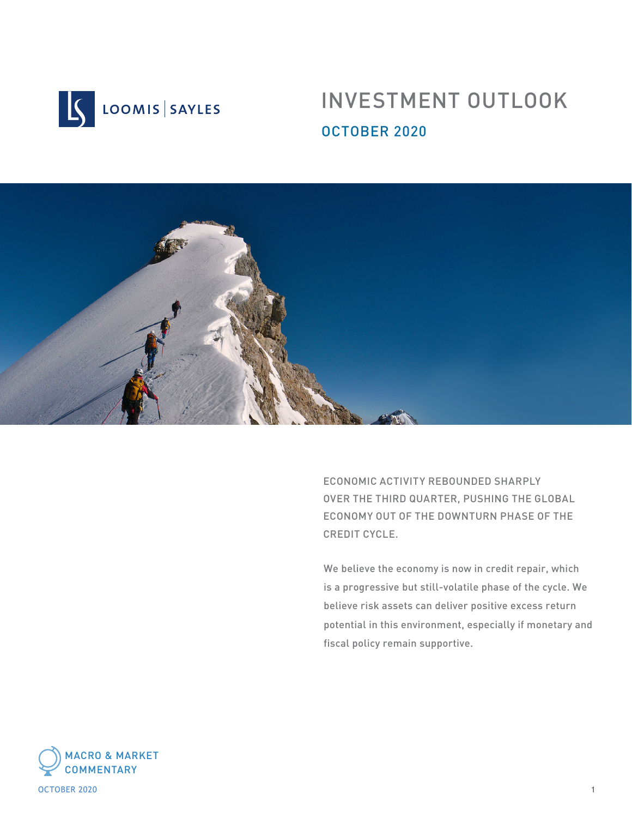

# INVESTMENT OUTLOOK OCTOBER 2020



ECONOMIC ACTIVITY REBOUNDED SHARPLY OVER THE THIRD QUARTER, PUSHING THE GLOBAL ECONOMY OUT OF THE DOWNTURN PHASE OF THE CREDIT CYCLE.

We believe the economy is now in credit repair, which is a progressive but still-volatile phase of the cycle. We believe risk assets can deliver positive excess return potential in this environment, especially if monetary and fiscal policy remain supportive.



october 2020 and the second state of the second state of the second state of the second state of the second state of the second state of the second state of the second state of the second state of the second state of the s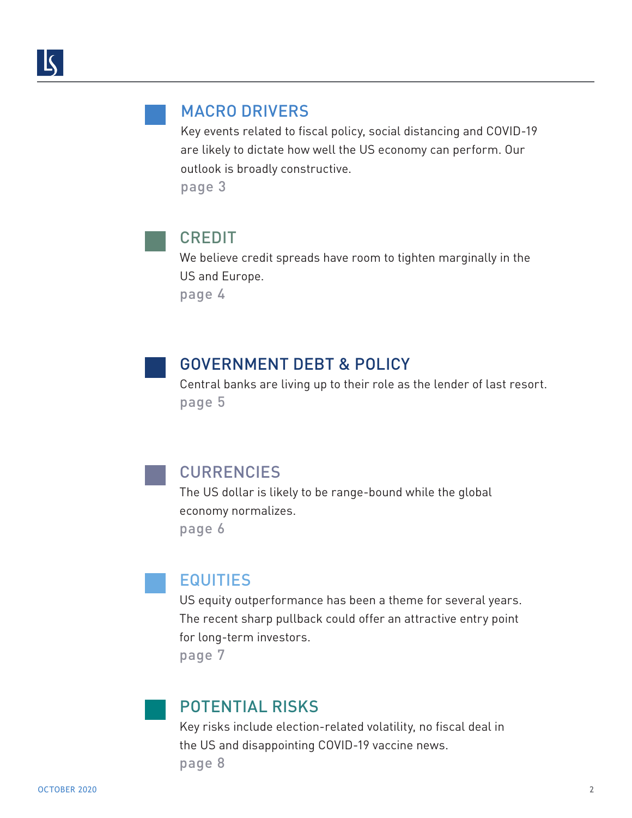### MACRO DRIVER[S](#page-3-0)

[Key events related to fiscal policy, social distancing and COVID-19](#page-2-0)  [are likely to dictate how well the US economy can perform. Our](#page-3-0)  [outlook is broadly constructive.](#page-3-0)  [page 3](#page-3-0)

CREDIT

[We believe credit spreads have room to tighten marginally in the](#page-3-0)  [US and Europe.](#page-3-0) 

[page 4](#page-3-0)

## GOVERNMENT DEBT & POLIC[Y](#page-4-0)

[Central banks are living up to their role as the lender of last resort.](#page-4-0)  [page 5](#page-4-0)

CURRENCIES

[The US dollar is likely to be range-bound while the global](#page-5-0)  [economy normalizes.](#page-5-0)  [page](#page-5-0) 6

## [EQUITIES](#page-6-0)

[US equity outperformance has been a theme for several years.](#page-6-0)  [The recent sharp pullback could offer an attractive entry point](#page-6-0)  [for long-term investors.](#page-6-0) 

[page](#page-6-0) 7

### [POTENTIAL RISKS](#page-7-0)

[Key risks include election-related volatility, no fiscal deal in](#page-7-0)  [the US and disappointing COVID-19 vaccine news.](#page-7-0) [page](#page-7-0) 8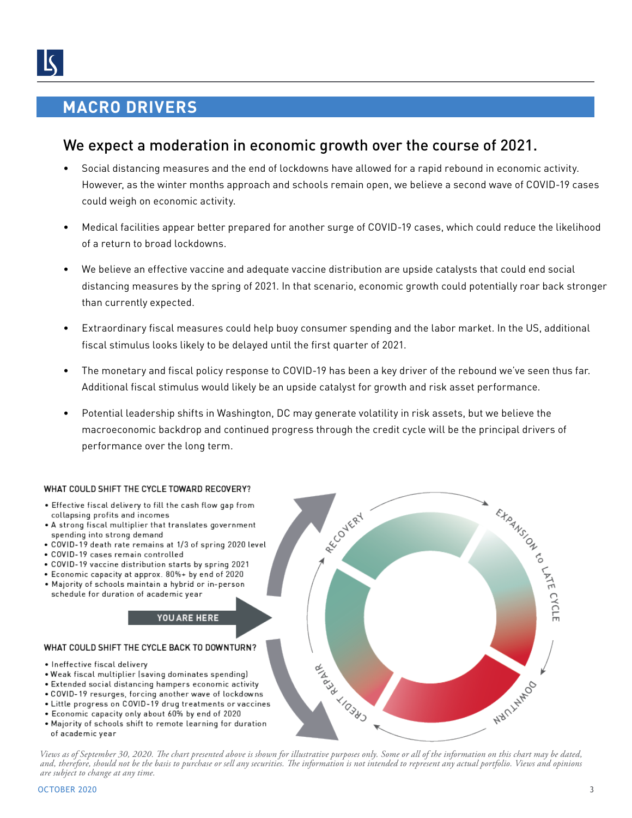## <span id="page-2-0"></span>**MACRO DRIVERS**

### We expect a moderation in economic growth over the course of 2021.

- Social distancing measures and the end of lockdowns have allowed for a rapid rebound in economic activity. However, as the winter months approach and schools remain open, we believe a second wave of COVID-19 cases could weigh on economic activity.
- Medical facilities appear better prepared for another surge of COVID-19 cases, which could reduce the likelihood of a return to broad lockdowns.
- We believe an effective vaccine and adequate vaccine distribution are upside catalysts that could end social distancing measures by the spring of 2021. In that scenario, economic growth could potentially roar back stronger than currently expected.
- Extraordinary fiscal measures could help buoy consumer spending and the labor market. In the US, additional fiscal stimulus looks likely to be delayed until the first quarter of 2021.
- The monetary and fiscal policy response to COVID-19 has been a key driver of the rebound we've seen thus far. Additional fiscal stimulus would likely be an upside catalyst for growth and risk asset performance.
- Potential leadership shifts in Washington, DC may generate volatility in risk assets, but we believe the macroeconomic backdrop and continued progress through the credit cycle will be the principal drivers of performance over the long term.

## THE COOLD CARE .

- Effective '
- A strong fiscal multiplier that translates government spending into strong demand
- . COVID-19 death rate remains at 1/3 of spring 2020 level
- · COVID-19 cases remain controlled
- . COVID-19 vaccine distribution starts by spring 2021
- Economic capacity at approx. 80%+ by end of 2020
- . Majority of schools maintain a hybrid or in-person schedule for duration of academic year

#### **YOU ARE HERE**

#### WHAT COULD SHIFT THE CYCLE BACK TO DOWNTURN?

- Ineffective fiscal delivery
- Weak fiscal multiplier (saving dominates spending)
- . Extended social distancing hampers economic activity
- COVID-19 resurges, forcing another wave of lockdowns
- Little progress on COVID-19 drug treatments or vaccines
- Economic capacity only about 60% by end of 2020
- . Majority of schools shift to remote learning for duration of academic year

*Views as of September 30, 2020. The chart presented above is shown for illustrative purposes only. Some or all of the information on this chart may be dated, and, therefore, should not be the basis to purchase or sell any securities. The information is not intended to represent any actual portfolio. Views and opinions are subject to change at any time.*

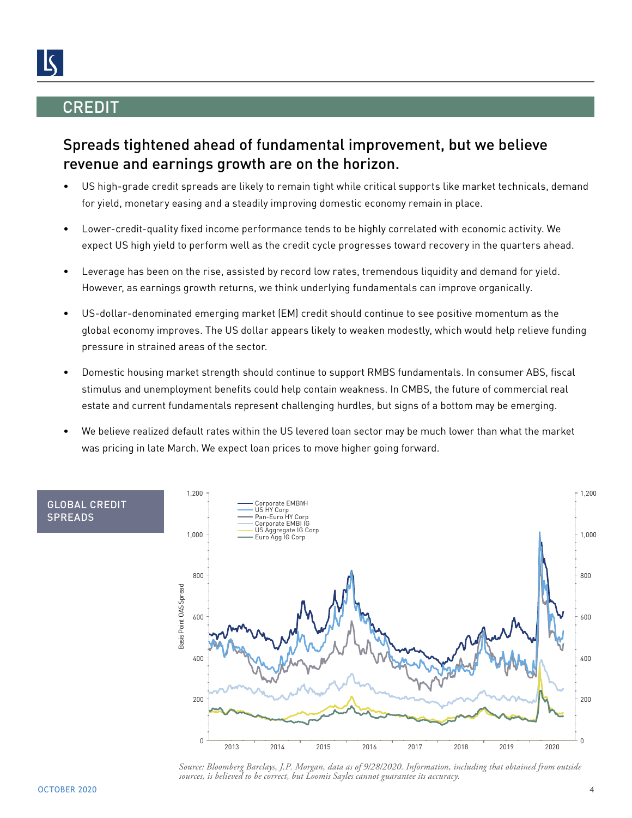## <span id="page-3-0"></span>**CREDIT**

## Spreads tightened ahead of fundamental improvement, but we believe revenue and earnings growth are on the horizon.

- US high-grade credit spreads are likely to remain tight while critical supports like market technicals, demand for yield, monetary easing and a steadily improving domestic economy remain in place.
- Lower-credit-quality fixed income performance tends to be highly correlated with economic activity. We expect US high yield to perform well as the credit cycle progresses toward recovery in the quarters ahead.
- Leverage has been on the rise, assisted by record low rates, tremendous liquidity and demand for yield. However, as earnings growth returns, we think underlying fundamentals can improve organically.
- US-dollar-denominated emerging market (EM) credit should continue to see positive momentum as the global economy improves. The US dollar appears likely to weaken modestly, which would help relieve funding pressure in strained areas of the sector.
- Domestic housing market strength should continue to support RMBS fundamentals. In consumer ABS, fiscal stimulus and unemployment benefits could help contain weakness. In CMBS, the future of commercial real estate and current fundamentals represent challenging hurdles, but signs of a bottom may be emerging.
- We believe realized default rates within the US levered loan sector may be much lower than what the market was pricing in late March. We expect loan prices to move higher going forward.



*Source: Bloomberg Barclays, J.P. Morgan, data as of 9/28/2020. Information, including that obtained from outside sources, is believed to be correct, but Loomis Sayles cannot guarantee its accuracy.*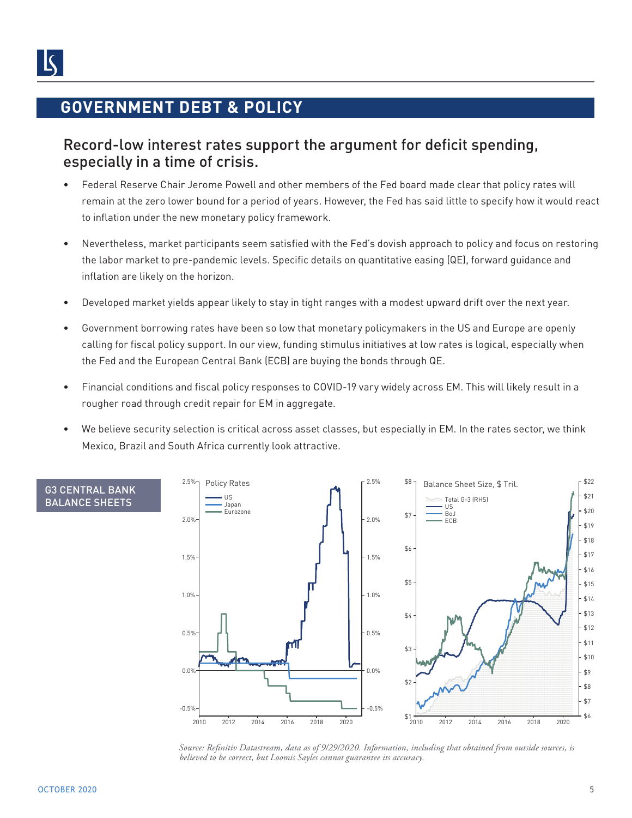## <span id="page-4-0"></span>**GOVERNMENT DEBT & POLICY**

### Record-low interest rates support the argument for deficit spending, especially in a time of crisis.

- Federal Reserve Chair Jerome Powell and other members of the Fed board made clear that policy rates will remain at the zero lower bound for a period of years. However, the Fed has said little to specify how it would react to inflation under the new monetary policy framework.
- Nevertheless, market participants seem satisfied with the Fed's dovish approach to policy and focus on restoring the labor market to pre-pandemic levels. Specific details on quantitative easing (QE), forward guidance and inflation are likely on the horizon.
- Developed market yields appear likely to stay in tight ranges with a modest upward drift over the next year.
- Government borrowing rates have been so low that monetary policymakers in the US and Europe are openly calling for fiscal policy support. In our view, funding stimulus initiatives at low rates is logical, especially when the Fed and the European Central Bank (ECB) are buying the bonds through QE.
- Financial conditions and fiscal policy responses to COVID-19 vary widely across EM. This will likely result in a rougher road through credit repair for EM in aggregate.
- We believe security selection is critical across asset classes, but especially in EM. In the rates sector, we think Mexico, Brazil and South Africa currently look attractive.



*Source: Refinitiv Datastream, data as of 9/29/2020. Information, including that obtained from outside sources, is believed to be correct, but Loomis Sayles cannot guarantee its accuracy.*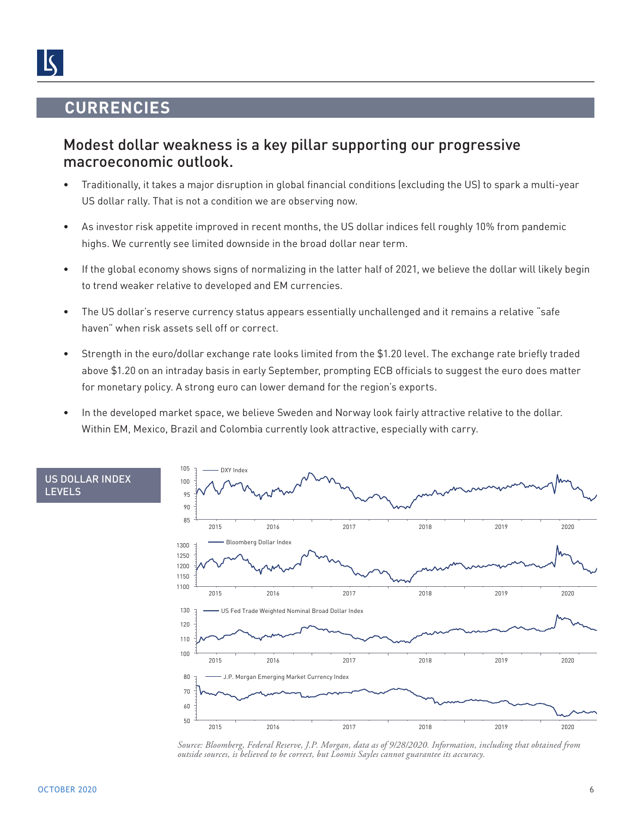## **CURRENCIES**

<span id="page-5-0"></span> $\mathsf{K}$ 

### Modest dollar weakness is a key pillar supporting our progressive macroeconomic outlook.

- Traditionally, it takes a major disruption in global financial conditions (excluding the US) to spark a multi-year US dollar rally. That is not a condition we are observing now.
- As investor risk appetite improved in recent months, the US dollar indices fell roughly 10% from pandemic highs. We currently see limited downside in the broad dollar near term.
- If the global economy shows signs of normalizing in the latter half of 2021, we believe the dollar will likely begin to trend weaker relative to developed and EM currencies.
- The US dollar's reserve currency status appears essentially unchallenged and it remains a relative "safe haven" when risk assets sell off or correct.
- Strength in the euro/dollar exchange rate looks limited from the \$1.20 level. The exchange rate briefly traded above \$1.20 on an intraday basis in early September, prompting ECB officials to suggest the euro does matter for monetary policy. A strong euro can lower demand for the region's exports.
- In the developed market space, we believe Sweden and Norway look fairly attractive relative to the dollar. Within EM, Mexico, Brazil and Colombia currently look attractive, especially with carry.



*Source: Bloomberg, Federal Reserve, J.P. Morgan, data as of 9/28/2020. Information, including that obtained from outside sources, is believed to be correct, but Loomis Sayles cannot guarantee its accuracy.*

US DOLLAR INDEX

LEVELS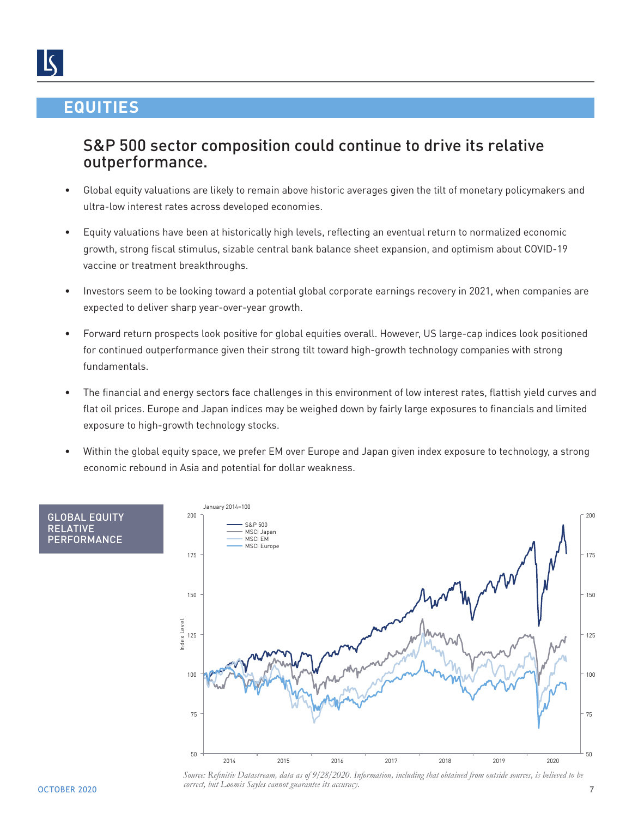## <span id="page-6-0"></span>**EQUITIES**

## S&P 500 sector composition could continue to drive its relative outperformance.

- Global equity valuations are likely to remain above historic averages given the tilt of monetary policymakers and ultra-low interest rates across developed economies.
- Equity valuations have been at historically high levels, reflecting an eventual return to normalized economic growth, strong fiscal stimulus, sizable central bank balance sheet expansion, and optimism about COVID-19 vaccine or treatment breakthroughs.
- Investors seem to be looking toward a potential global corporate earnings recovery in 2021, when companies are expected to deliver sharp year-over-year growth.
- Forward return prospects look positive for global equities overall. However, US large-cap indices look positioned for continued outperformance given their strong tilt toward high-growth technology companies with strong fundamentals.
- The financial and energy sectors face challenges in this environment of low interest rates, flattish yield curves and flat oil prices. Europe and Japan indices may be weighed down by fairly large exposures to financials and limited exposure to high-growth technology stocks.
- Within the global equity space, we prefer EM over Europe and Japan given index exposure to technology, a strong economic rebound in Asia and potential for dollar weakness.



 $OCTOBER\,2020$  and  $OCTOBE$  and  $OCTOBE$  and  $OCTOBE$  and  $OCTOBE$  and  $OCTOBE$  and  $OCTOBE$  and  $OTE$  and  $OTE$  and  $OTE$  and  $OTE$  and  $OTE$  and  $OTE$  and  $OTE$  and  $OTE$  and  $OTE$  and  $OTE$  and  $OTE$  and  $OTE$  and  $OTE$  and  $OTE$  and  $OTE$  and  $OTE$ *Source: Refinitiv Datastream, data as of 9/28/2020. Information, including that obtained from outside sources, is believed to be correct, but Loomis Sayles cannot guarantee its accuracy.*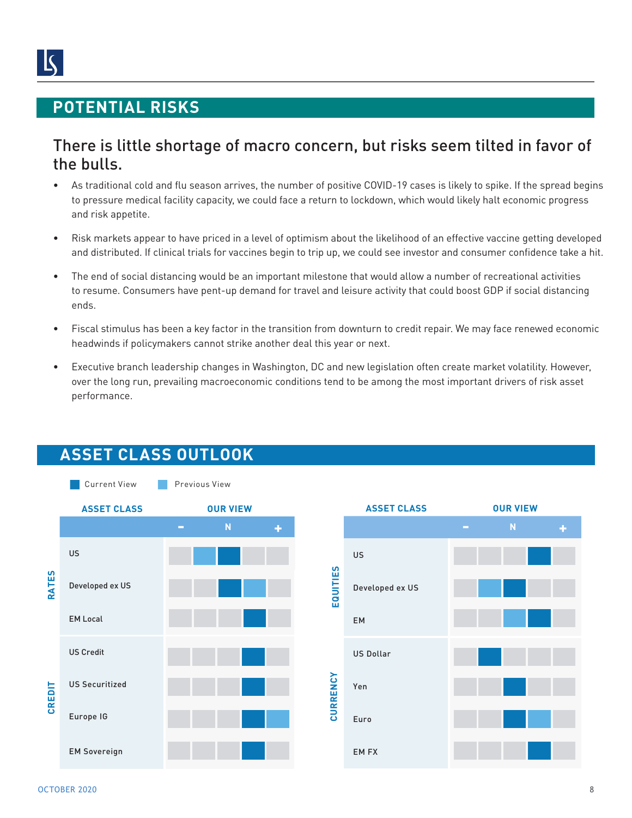## <span id="page-7-0"></span>**POTENTIAL RISKS**

## There is little shortage of macro concern, but risks seem tilted in favor of the bulls.

- As traditional cold and flu season arrives, the number of positive COVID-19 cases is likely to spike. If the spread begins to pressure medical facility capacity, we could face a return to lockdown, which would likely halt economic progress and risk appetite.
- Risk markets appear to have priced in a level of optimism about the likelihood of an effective vaccine getting developed and distributed. If clinical trials for vaccines begin to trip up, we could see investor and consumer confidence take a hit.
- The end of social distancing would be an important milestone that would allow a number of recreational activities to resume. Consumers have pent-up demand for travel and leisure activity that could boost GDP if social distancing ends.
- Fiscal stimulus has been a key factor in the transition from downturn to credit repair. We may face renewed economic headwinds if policymakers cannot strike another deal this year or next.
- Executive branch leadership changes in Washington, DC and new legislation often create market volatility. However, over the long run, prevailing macroeconomic conditions tend to be among the most important drivers of risk asset performance.



## **ASSET CLASS OUTLOOK**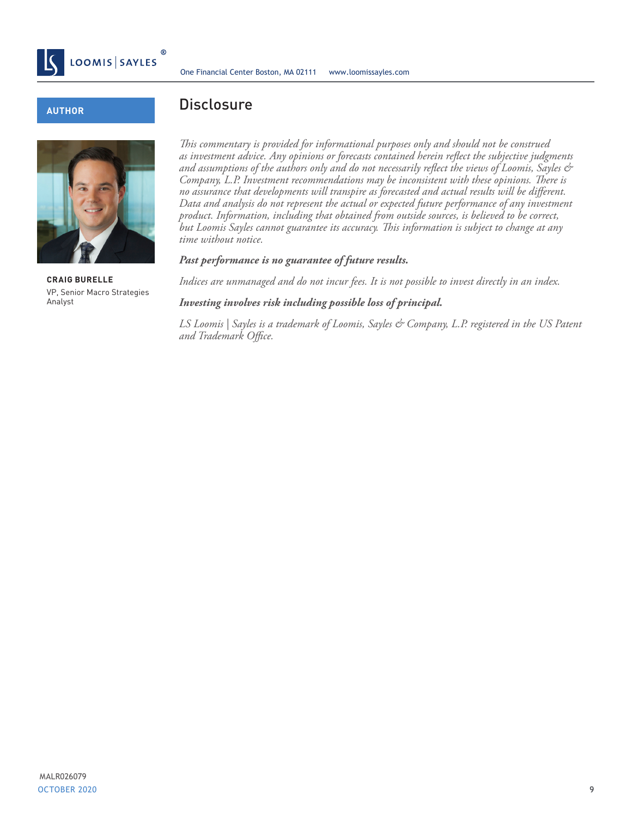

#### **AUTHOR**



**CRAIG BURELLE**  VP, Senior Macro Strategies Analyst

#### **Disclosure**

*This commentary is provided for informational purposes only and should not be construed as investment advice. Any opinions or forecasts contained herein reflect the subjective judgments and assumptions of the authors only and do not necessarily reflect the views of Loomis, Sayles & Company, L.P. Investment recommendations may be inconsistent with these opinions. There is no assurance that developments will transpire as forecasted and actual results will be different. Data and analysis do not represent the actual or expected future performance of any investment product. Information, including that obtained from outside sources, is believed to be correct, but Loomis Sayles cannot guarantee its accuracy. This information is subject to change at any time without notice.*

#### *Past performance is no guarantee of future results.*

*Indices are unmanaged and do not incur fees. It is not possible to invest directly in an index.*

#### *Investing involves risk including possible loss of principal.*

*LS Loomis | Sayles is a trademark of Loomis, Sayles & Company, L.P. registered in the US Patent and Trademark Office.*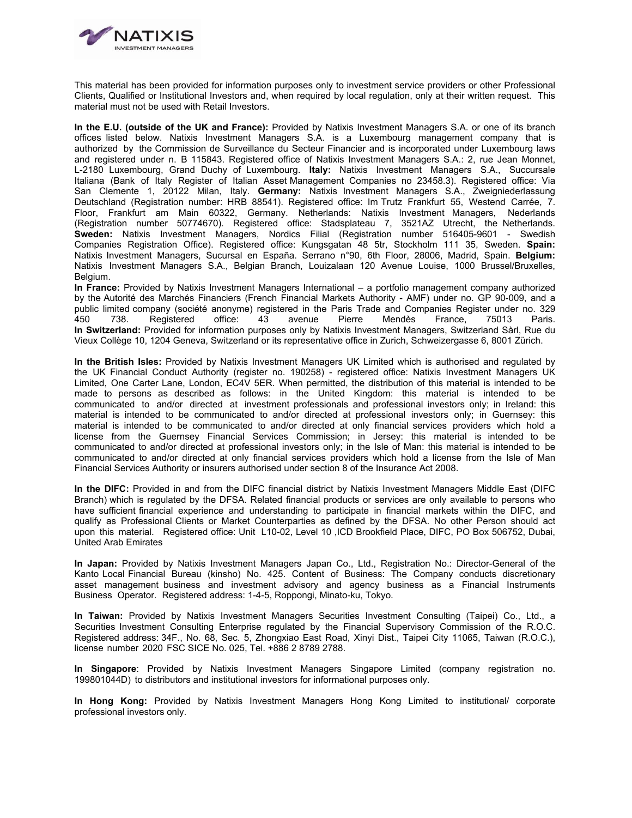

This material has been provided for information purposes only to investment service providers or other Professional Clients, Qualified or Institutional Investors and, when required by local regulation, only at their written request. This material must not be used with Retail Investors.

**In the E.U. (outside of the UK and France):** Provided by Natixis Investment Managers S.A. or one of its branch offices listed below. Natixis Investment Managers S.A. is a Luxembourg management company that is authorized by the Commission de Surveillance du Secteur Financier and is incorporated under Luxembourg laws and registered under n. B 115843. Registered office of Natixis Investment Managers S.A.: 2, rue Jean Monnet, L-2180 Luxembourg, Grand Duchy of Luxembourg. **Italy:** Natixis Investment Managers S.A., Succursale Italiana (Bank of Italy Register of Italian Asset Management Companies no 23458.3). Registered office: Via San Clemente 1, 20122 Milan, Italy. **Germany:** Natixis Investment Managers S.A., Zweigniederlassung Deutschland (Registration number: HRB 88541). Registered office: Im Trutz Frankfurt 55, Westend Carrée, 7. Floor, Frankfurt am Main 60322, Germany. Netherlands: Natixis Investment Managers, Nederlands (Registration number 50774670). Registered office: Stadsplateau 7, 3521AZ Utrecht, the Netherlands. **Sweden:** Natixis Investment Managers, Nordics Filial (Registration number 516405-9601 - Swedish Companies Registration Office). Registered office: Kungsgatan 48 5tr, Stockholm 111 35, Sweden. **Spain:** Natixis Investment Managers, Sucursal en España. Serrano n°90, 6th Floor, 28006, Madrid, Spain. **Belgium:** Natixis Investment Managers S.A., Belgian Branch, Louizalaan 120 Avenue Louise, 1000 Brussel/Bruxelles, Belgium.

**In France:** Provided by Natixis Investment Managers International – a portfolio management company authorized by the Autorité des Marchés Financiers (French Financial Markets Authority - AMF) under no. GP 90-009, and a public limited company (société anonyme) registered in the Paris Trade and Companies Register under no. 329 450 738. Registered office: 43 avenue Pierre Mendès France, 75013 Paris. **In Switzerland:** Provided for information purposes only by Natixis Investment Managers, Switzerland Sàrl, Rue du Vieux Collège 10, 1204 Geneva, Switzerland or its representative office in Zurich, Schweizergasse 6, 8001 Zürich.

**In the British Isles:** Provided by Natixis Investment Managers UK Limited which is authorised and regulated by the UK Financial Conduct Authority (register no. 190258) - registered office: Natixis Investment Managers UK Limited, One Carter Lane, London, EC4V 5ER. When permitted, the distribution of this material is intended to be made to persons as described as follows: in the United Kingdom: this material is intended to be communicated to and/or directed at investment professionals and professional investors only; in Ireland: this material is intended to be communicated to and/or directed at professional investors only; in Guernsey: this material is intended to be communicated to and/or directed at only financial services providers which hold a license from the Guernsey Financial Services Commission; in Jersey: this material is intended to be communicated to and/or directed at professional investors only; in the Isle of Man: this material is intended to be communicated to and/or directed at only financial services providers which hold a license from the Isle of Man Financial Services Authority or insurers authorised under section 8 of the Insurance Act 2008.

**In the DIFC:** Provided in and from the DIFC financial district by Natixis Investment Managers Middle East (DIFC Branch) which is regulated by the DFSA. Related financial products or services are only available to persons who have sufficient financial experience and understanding to participate in financial markets within the DIFC, and qualify as Professional Clients or Market Counterparties as defined by the DFSA. No other Person should act upon this material. Registered office: Unit L10-02, Level 10 ,ICD Brookfield Place, DIFC, PO Box 506752, Dubai, United Arab Emirates

**In Japan:** Provided by Natixis Investment Managers Japan Co., Ltd., Registration No.: Director-General of the Kanto Local Financial Bureau (kinsho) No. 425. Content of Business: The Company conducts discretionary asset management business and investment advisory and agency business as a Financial Instruments Business Operator. Registered address: 1-4-5, Roppongi, Minato-ku, Tokyo.

**In Taiwan:** Provided by Natixis Investment Managers Securities Investment Consulting (Taipei) Co., Ltd., a Securities Investment Consulting Enterprise regulated by the Financial Supervisory Commission of the R.O.C. Registered address: 34F., No. 68, Sec. 5, Zhongxiao East Road, Xinyi Dist., Taipei City 11065, Taiwan (R.O.C.), license number 2020 FSC SICE No. 025, Tel. +886 2 8789 2788.

**In Singapore**: Provided by Natixis Investment Managers Singapore Limited (company registration no. 199801044D) to distributors and institutional investors for informational purposes only.

**In Hong Kong:** Provided by Natixis Investment Managers Hong Kong Limited to institutional/ corporate professional investors only.